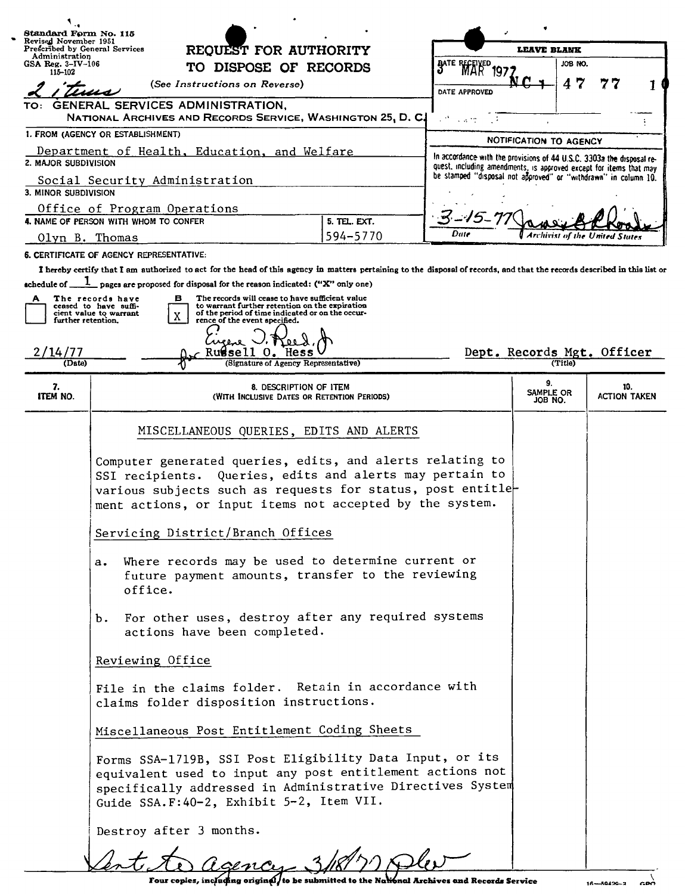| Standard Form No. 115                                                                                    |                                                                                                                                                                                                                                                                                                                                                                                                                                                                                                                                                                                                                                                                                                                                                                                                                                                                                                                                                                                               |              |                                                                                                                                             |                            |                            |  |
|----------------------------------------------------------------------------------------------------------|-----------------------------------------------------------------------------------------------------------------------------------------------------------------------------------------------------------------------------------------------------------------------------------------------------------------------------------------------------------------------------------------------------------------------------------------------------------------------------------------------------------------------------------------------------------------------------------------------------------------------------------------------------------------------------------------------------------------------------------------------------------------------------------------------------------------------------------------------------------------------------------------------------------------------------------------------------------------------------------------------|--------------|---------------------------------------------------------------------------------------------------------------------------------------------|----------------------------|----------------------------|--|
| Revised November 1951<br>Prescribed by General Services<br>REQUEST FOR AUTHORITY                         |                                                                                                                                                                                                                                                                                                                                                                                                                                                                                                                                                                                                                                                                                                                                                                                                                                                                                                                                                                                               |              | <b>LEAVE BLANK</b>                                                                                                                          |                            |                            |  |
|                                                                                                          | Administration<br>GSA Reg. $3-\text{IV}-106$<br>TO DISPOSE OF RECORDS                                                                                                                                                                                                                                                                                                                                                                                                                                                                                                                                                                                                                                                                                                                                                                                                                                                                                                                         |              |                                                                                                                                             |                            | JOB NO.                    |  |
| 115-102                                                                                                  | (See Instructions on Reverse)                                                                                                                                                                                                                                                                                                                                                                                                                                                                                                                                                                                                                                                                                                                                                                                                                                                                                                                                                                 |              | BATE RECEIVED<br>197                                                                                                                        | 4                          | 7                          |  |
|                                                                                                          |                                                                                                                                                                                                                                                                                                                                                                                                                                                                                                                                                                                                                                                                                                                                                                                                                                                                                                                                                                                               |              | DATE APPROVED                                                                                                                               |                            |                            |  |
| GENERAL SERVICES ADMINISTRATION,<br>TO: 1<br>NATIONAL ARCHIVES AND RECORDS SERVICE, WASHINGTON 25, D. C. |                                                                                                                                                                                                                                                                                                                                                                                                                                                                                                                                                                                                                                                                                                                                                                                                                                                                                                                                                                                               |              | $\mathbb{R}^N$ , with                                                                                                                       |                            |                            |  |
| 1. FROM (AGENCY OR ESTABLISHMENT)                                                                        |                                                                                                                                                                                                                                                                                                                                                                                                                                                                                                                                                                                                                                                                                                                                                                                                                                                                                                                                                                                               |              | NOTIFICATION TO AGENCY                                                                                                                      |                            |                            |  |
| Department of Health, Education, and Welfare<br>2. MAJOR SUBDIVISION                                     |                                                                                                                                                                                                                                                                                                                                                                                                                                                                                                                                                                                                                                                                                                                                                                                                                                                                                                                                                                                               |              | In accordance with the provisions of 44 U.S.C. 3303a the disposal re-<br>quest, including amendments, is approved except for items that may |                            |                            |  |
| Social Security Administration<br>3. MINOR SUBDIVISION                                                   |                                                                                                                                                                                                                                                                                                                                                                                                                                                                                                                                                                                                                                                                                                                                                                                                                                                                                                                                                                                               |              | be stamped "disposal not approved" or "withdrawn" in column 10.                                                                             |                            |                            |  |
| Office of Program Operations                                                                             |                                                                                                                                                                                                                                                                                                                                                                                                                                                                                                                                                                                                                                                                                                                                                                                                                                                                                                                                                                                               |              |                                                                                                                                             |                            |                            |  |
|                                                                                                          | 4. NAME OF PERSON WITH WHOM TO CONFER                                                                                                                                                                                                                                                                                                                                                                                                                                                                                                                                                                                                                                                                                                                                                                                                                                                                                                                                                         | 5. TEL. EXT. | Date                                                                                                                                        |                            |                            |  |
| Olyn B. Thomas                                                                                           |                                                                                                                                                                                                                                                                                                                                                                                                                                                                                                                                                                                                                                                                                                                                                                                                                                                                                                                                                                                               | 594-5770     |                                                                                                                                             |                            |                            |  |
|                                                                                                          | 6. CERTIFICATE OF AGENCY REPRESENTATIVE:                                                                                                                                                                                                                                                                                                                                                                                                                                                                                                                                                                                                                                                                                                                                                                                                                                                                                                                                                      |              |                                                                                                                                             |                            |                            |  |
| schedule of _                                                                                            | I hereby certify that I am authorized to act for the head of this agency in matters pertaining to the disposal of records, and that the records described in this list or<br>pages are proposed for disposal for the reason indicated: ("X" only one)                                                                                                                                                                                                                                                                                                                                                                                                                                                                                                                                                                                                                                                                                                                                         |              |                                                                                                                                             |                            |                            |  |
| A<br>further retention,                                                                                  | The records will cease to have sufficient value<br>The records have<br>в<br>to warrant further retention on the expiration<br>ceased to have suffi-<br>of the period of time indicated or on the occur-<br>cient value to warrant<br>X.<br>rence of the event specified.                                                                                                                                                                                                                                                                                                                                                                                                                                                                                                                                                                                                                                                                                                                      |              |                                                                                                                                             |                            |                            |  |
| 2/14/77<br>Rugsell O. Hess<br>(Signature of Agency Representative)<br>(Date)                             |                                                                                                                                                                                                                                                                                                                                                                                                                                                                                                                                                                                                                                                                                                                                                                                                                                                                                                                                                                                               |              | Dept. Records Mgt. Officer<br>(Title)                                                                                                       |                            |                            |  |
| 7.<br>ITEM NO.                                                                                           | 8. DESCRIPTION OF ITEM<br>(WITH INCLUSIVE DATES OR RETENTION PERIODS)                                                                                                                                                                                                                                                                                                                                                                                                                                                                                                                                                                                                                                                                                                                                                                                                                                                                                                                         |              |                                                                                                                                             | 9.<br>SAMPLE OR<br>JOB NO. | 10.<br><b>ACTION TAKEN</b> |  |
|                                                                                                          | MISCELLANEOUS QUERIES, EDITS AND ALERTS<br>Computer generated queries, edits, and alerts relating to<br>SSI recipients. Queries, edits and alerts may pertain to<br>various subjects such as requests for status, post entitle-<br>ment actions, or input items not accepted by the system.<br>Servicing District/Branch Offices<br>Where records may be used to determine current or<br>a.<br>future payment amounts, transfer to the reviewing<br>office.<br>For other uses, destroy after any required systems<br>b.<br>actions have been completed.<br>Reviewing Office<br>File in the claims folder. Retain in accordance with<br>claims folder disposition instructions.<br>Miscellaneous Post Entitlement Coding Sheets<br>Forms SSA-1719B, SSI Post Eligibility Data Input, or its<br>equivalent used to input any post entitlement actions not<br>specifically addressed in Administrative Directives System<br>Guide SSA.F: 40-2, Exhibit 5-2, Item VII.<br>Destroy after 3 months. |              |                                                                                                                                             |                            |                            |  |
|                                                                                                          |                                                                                                                                                                                                                                                                                                                                                                                                                                                                                                                                                                                                                                                                                                                                                                                                                                                                                                                                                                                               |              |                                                                                                                                             |                            |                            |  |
|                                                                                                          |                                                                                                                                                                                                                                                                                                                                                                                                                                                                                                                                                                                                                                                                                                                                                                                                                                                                                                                                                                                               |              |                                                                                                                                             |                            |                            |  |
|                                                                                                          |                                                                                                                                                                                                                                                                                                                                                                                                                                                                                                                                                                                                                                                                                                                                                                                                                                                                                                                                                                                               |              |                                                                                                                                             |                            |                            |  |
|                                                                                                          |                                                                                                                                                                                                                                                                                                                                                                                                                                                                                                                                                                                                                                                                                                                                                                                                                                                                                                                                                                                               |              |                                                                                                                                             |                            |                            |  |
|                                                                                                          |                                                                                                                                                                                                                                                                                                                                                                                                                                                                                                                                                                                                                                                                                                                                                                                                                                                                                                                                                                                               |              |                                                                                                                                             |                            |                            |  |
|                                                                                                          |                                                                                                                                                                                                                                                                                                                                                                                                                                                                                                                                                                                                                                                                                                                                                                                                                                                                                                                                                                                               |              |                                                                                                                                             |                            |                            |  |
|                                                                                                          |                                                                                                                                                                                                                                                                                                                                                                                                                                                                                                                                                                                                                                                                                                                                                                                                                                                                                                                                                                                               |              |                                                                                                                                             |                            |                            |  |
|                                                                                                          |                                                                                                                                                                                                                                                                                                                                                                                                                                                                                                                                                                                                                                                                                                                                                                                                                                                                                                                                                                                               |              |                                                                                                                                             |                            |                            |  |
|                                                                                                          |                                                                                                                                                                                                                                                                                                                                                                                                                                                                                                                                                                                                                                                                                                                                                                                                                                                                                                                                                                                               |              |                                                                                                                                             |                            |                            |  |
|                                                                                                          | Lentite agency-3/18/11 Dlev                                                                                                                                                                                                                                                                                                                                                                                                                                                                                                                                                                                                                                                                                                                                                                                                                                                                                                                                                                   |              |                                                                                                                                             |                            |                            |  |

 $16 - 60420 - 2$  GPO

Venti AD *Coence* 3/18<sup>/1</sup>)<sup></sup> NICU